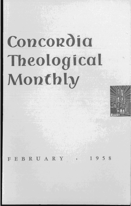# Concordia **Theological Monthly**



FEBRUARY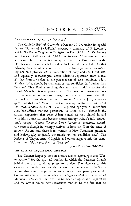## "ON CONDITION THAT" OR "BECAUSE"

The *Catholic Biblical Quarterly* (October 1957), under its special feature "Survey of Periodicals," presents a summary of S. Lyonnet's article "Le Péché Originel et l'exégèse de Rom. 5:12-14" *(Recherches des Sciences Religieuses* 44:63-84) as follows: "Re-examines these verses in light of the patristic interpretation of the East as well as the Old Testament texts which form their background to conclude: 1) that  $\theta$ áv $\alpha$ τος must be understood in its full Pauline significance as meaning not only physical death (separation of body and soul) but also, and especially, eschatological death (definite separation from God), 2) that  $\eta\mu\alpha\varrho\tau\omega v$  refers to the personal sin of each individual adult, 3) that  $\dot{\epsilon} \varphi'$   $\bar{\varphi}$  should be translated as 'on condition that' rather than 'because.' Thus Paul is teaching that each man ( adult) ratifies the sin of Adam by his own personal sin. This does not destroy the doctrine of original sin in this passage but rather emphasizes that the personal sins have their root in the sin of Adam or [are] a consequence of that sin." Meyer in his Commentary on Romans points out that most modern expositors have interpreted  $\tilde{\eta}$ u $\alpha$ otov of individual sins, but affirms that the parallelism in Rom. 5: 12-20 demands the ancient exposition that when Adam sinned, all men sinned in and with him so that all men became mortal through Adam's fall. Augustine's thought: *Omnes ille unus homo fuerunt* is, therefore, essentially correct though he wrongly derived it from  $\epsilon \varphi'$   $\bar{\varphi}$  in the sense of *in quo.* At any rate, there is no warrant in New Testament grammar and lexicography to justify the translation "on condition that." The lexicons of Thayer, Arndt-Gingrich, and others support only the translation "for this reason that" or "because."

# JOHN THEODORE MUELLER

#### THE ROLL OF APOCALYPTIC THUNDER

The German language uses an untranslatable "apokalyptisches Wetterleuchten" for the spiritual weather in which the Lutheran Church behind the iron curtain must try to survive. The violence of this cataclysmic thunder was recently increased by the decree of the Soviet regime that young people of confirmation age must participate in the Communist ceremony of rededication *(Jugendweihe)* to the cause of Marxian dialecticism. Hitherto this has been an optional arrangement; and the Soviet tyrants saw themselves mocked by the fact that no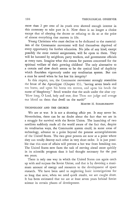more than 2 per cent of *its* youth ever showed enough interest in this ceremony to take part in *it.* Now there *is* no longer a choice except that of obeying the decree or refusing to do so at the price of almost everything that matters in life.

Young Christians who must decline to be dedicated to the material*ism* of the Communist movement will find themselves deprived of every opportunity for further education. No jobs of any kind, except possibly the most menial assignments, will be open to them. They will be harassed by neighbors, party workers, and government officials at every turn. Imagine what this means for parents concerned for the spiritual welfare of their growing children! The only alternative to a certain and slow death seems to be the cynical kind of duplicity which flourishes vigorously under any totalitarian system. But can a man be saved when he has lost his integrity?

In this respect, too, the Communist movement strongly resembles the beast of the Apocalypse (Chapter 13), "having seven heads and ten horns, and upon his horns ten crowns, and upon his heads the name of blasphemy." Small wonder that the souls under the altar cry: "How long, 0 lord, holy and true, dost Thou not judge and avenge our blood on them that dwell on the earth?"

#### MARTIN H. SCHARLEMANN

### TECHNOLOGY AND THE CHURCH

We are at war. It is not a shooting affair yet. It may never be. Nevertheless, there can be no doubt about the fact that we are in a struggle for survival with the Soviet Union. The launching of two satellites suddenly made all the world aware of the fact that, despite *its* totalitarian ways, the Communist system could, in some areas of technology, advance to a point beyond the present accomplishments of the United States. The two great powers are now at a point where they can totally destroy each other in very short order. It *is* just possible that this state of affairs will prevent a hot war from breaking out. The United States now faces the task of moving ahead more quickly in its scientific program than *it* had thought necessary for the past ten years.

There *is* only one way in which the United States can again catch up with and surpass the Soviet Union; and that is by devoting a maximum amount of energy and resources to the development of space research. We have been used to neglecting basic investigations for so long that now, when we need quick results, we are caught short. It has been estimated that we are at least seven years behind Soviet science in certain phases of development.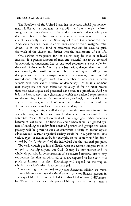The President of the United States has in several official pronouncements indicated that our great nation will now have to organize itself for greater accomplishments in the field of research and scientific production. This may have some very serious consequences for the church, especially since the Secretary of State has announced that Americans may well have to do without some of their "marginal freedoms." It is just this kind of statement that can be used to push the work of the church still farther into the background of our life.

One serious consequence for the church may be that of reduced income. If a greater amount of men and material has to be invested in scientific advancement, less of our total resources are available for the work of the church. Yet this is a less serious danger than a second one; namely, the possibility of our church-school system falling into disrepute and even under suspicion in a society managed and directed toward one technological goal. On a number of occasions Lutheran schools have been called divisive of democracy. Up to this moment that charge has not been taken too seriously, if for no other reason than that school space and personnel have been at a premium. And yet it is not hard to envision a situation in which the national requirements for the training of scientific personnel may seriously cast suspicion on any extensive program of church education unless that, too, would be directed only to technological ends and so deny itself.

A third danger might well develop from this necessary interest in scientific progress. It is just possible that when our national life is organized toward the achievement of this single goal, other concerns become of less value. The time may come when there is a graded system of handling the individual needs of persons and groups and when priority will be given to such as contribute directly to technological advancement. A fully organized society would be in a position to issue various types of ration cards, for example, whose value would be determined by the "usefulness" of the individual for the national program.

The early church got into difficulty with the Roman Empire when it refused to worship anyone but God. It may be that science and its wholesale pursuit, in demonstration of a concerted national effort, may yet become the altar on which all of us are expected to burn our little pinch of incense - or else! Everything will depend on the way in which the nation's effort is to be managed.

Someone might be tempted to say that American officials are much too sensible to encourage the development of a totalitarian pattern in our way of life. Let's not be lulled into that kind of cozy indifference; for eternal vigilance is still the price of liberty. Behind the instruments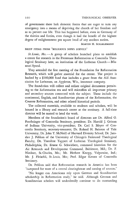of government there lurk demonic forces that are eager to turn any emergency into a means of depriving the church of her freedom and so to pervert our life. This has happened before, even in Germany of the thirties and forties, even though it had the benefit of the highest degree of enlightenment per square head of any modern nation.

#### MARTIN H. SCHARLEMANN

## BRIEF ITEMS FROM "RELIGIOUS NEWS SERVICE"

St. Louis, Mo. - A group of scholars launched plans to establish a center for research in the Protestant Reformation at Concordia Theological Seminary here, an institution of the Lutheran Church-Missouri Synod.

They attended the first meeting of the Foundation for Reformation Research, which will gather material for the center. The project is backed by a \$100,000 fund that includes a grant from the Aid Association for Lutherans, an Appleton, Wis., insurance company.

The foundation will collect and collate original documents pertaining to the Reformation era and will microfilm all important primary and secondary sources connected with the subject. These include the cominental, English, and Scandinavian phases of the Reformation, the Counter Reformation, and other related historical periods.

The collected materials, available to students and scholars, will be housed in a library and research center at the seminary. A full-time director will be named to head the work.

Members of the foundation's board of directors are Dr. Alfred o. Fuerbringer of Concordia Seminary, president; Dr. Harold J. Grimm of Indiana University, vice-president; Dr. Carl S. Meyer of Concordia Seminary, secretary-treasurer; Dr. Roland H. Bainton of Yale University; Dr. John T. McNeill of Harvard Divinity School; Dr. Jaroslav J. Pelikan of the University of Chicago's Federated Theological Faculty; Dr. Theodore Tappert of Lutheran Theological Seminary, Philadelphia; Dr. Ernest G. Schwiebert, command historian for the Air Research and Development Command, Baltimore, Md.; Dr. F. Niedner, St. Charles, Mo.; Mr. Herbert Knopp, Valparaiso, Ind.; Mr. J. Fleischli, St. Louis, Mo.; Prof. Edgar Krentz of Concordia Seminary.

Dr. Pelikan said that Reformation research in America has been "hampered for want of a central clearinghouse and catalog of sources."

"No longer can Americans rely upon German and Scandinavian scholarship in Reformation study," he said. Although German and Scandinavian scholars will undoubtedly continue to do outstanding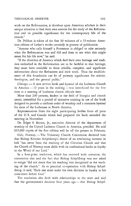#### THEOLOGICAL OBSERVER 141

work on the Reformation, it devolves upon American scholars in their unique situation to find their own sources for the study of the Reformation and its possible significance for the contemporary life of the church."

Dr. Pelikan is editor of the first 30 volumes of a 55-volume American edition of Luther's works currently in process of publication.

"Anyone who calls himself a Protestant is obliged to take seriously what the Reformation was and did and then to *see* what this might mean for his life now," he said.

"If the churches of America which find their own heritage and tradition embodied in the Reformation are to be faithful to that heritage, they must have available to them reliable, complete, and significant information about the Reformers and their work. Thus the establishment of this foundation can be of primary significance for scholar, theologian, and the general public."

*Chicago.* - A new service book and hymnal of the Lutheran Church in America-12 years in the making-was introduced for the first time at a meeting of Lutheran church officials here.

More than 200 persons, leaders in the field of liturgics and church music, assembled for a period of intensive training in use of the book designed to provide a uniform order of worship and a common hymnal for most of the Lutherans in North America.

Representatives from the eight participating bodies from all parts of the U. S. and Canada which had prepared the book attended the meeting in November.

Dr. Edgar S. Brown, Jr., executive director of the department of worship of the United Lutheran Church in America, presided. He said 635,000 copies of the first edition will be off the presses in February.

Oslo, Norway.-The Voluntary Church Convention declared here that Bishop Kristian Schjelderup's denial of an everlasting torment in hell "has never been the teaching of the Christian Church and that the Church of Norway must abide with its confessional books in loyalty to the Word of our Lord."

In a four-point resolution, which has received wide attention, the convention also said the fact that Bishop Schjelderup was not asked to resign "did not mean that his teaching was recognized as the teaching of the church." As to practical co-operation with Bishop Schjelderup, it said, "Each one must make his own decision in loyalty to his conscience before God."

The resolution also dealt with relationships to the state and said that the government's decision four years ago - that Bishop Schjel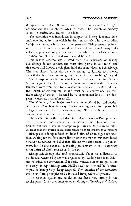derup was not "outside the confession" - does not mean that the government can tell the church what to teach. The Church of Norway is still "a confessional church," it added.

The resolution was introduced in support of Bishop Johannes Smemo's opening address, in which he dealt extensively with the so-called "Schjelderup case," which now is four years old. Bishop Smemo pointed out that the dispute has never died down and has caused many difficulties to practical co-operation and to the whole work of the church. He therefore felt that a final word should be said.

But Bishop Smemo also stressed that "the deviations of Bishop Schjelderup do not concern the most vital points in our faith" and that other well-known theologians hold the same views as Schjelderup. The state church "must also be wide enough to include such views, even if the church cannot recognize them as its own teaching," he said.

The four-point resolution, which closely followed the line Bishop Smemo suggested in his opening address, was passed with 108 votes. Eighteen votes were cast for a resolution which only reaffirmed that the Church of Norway still is and must be "a confessional church," the teaching of which is directed by its confessional books. Ten delegates wanted no resolution at all.

The Voluntary Church Convention is an unofficial but old institution in the Church of Norway. To its meeting every four years 168 delegates are elected at diocesan meetings. The nine bishops are ex officio members of the convention.

The resolution on the "hell dispute" did not mention Bishop Schjelderup by name. Introducing the resolution, Bishop Johannes Smidt pointed out that it was an attempt to put an end to the tragic affair in order that the church could concentrate on more constructive matters.

Bishop Schjelderup refused to defend himself or to argue his position. Asking for the floor immediately after the motion was introduced, however, he restated his belief that "life has two ends, there is a punishment, but I believe that an everlasting punishment in hell is contrary to the spirit of God's revelation in Christ."

Bishop Schjelderup also told dramatically about his difficulties in his diocese, where a boycott was organized by "leading circles in Oslo," and he asked the convention, if it really wanted him to resign, to say so clearly. In reply Bishop Arne Fjellbu said that it would be "a catastrophe" if Bishop Schjelderup resigned. The intention of the resolution was to set forth principles to be followed irrespective of persons.

The reaction against the resolution has been very strong in the secular press. It has been interpreted as aiming at "freezing out" Bishop